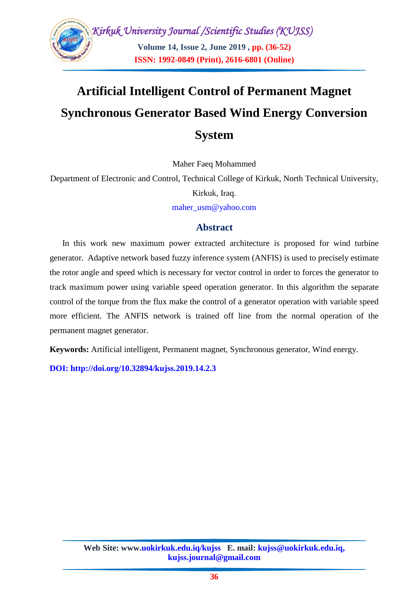

## **Artificial Intelligent Control of Permanent Magnet Synchronous Generator Based Wind Energy Conversion System**

Maher Faeq Mohammed

Department of Electronic and Control, Technical College of Kirkuk, North Technical University,

Kirkuk, Iraq.

[maher\\_usm@yahoo.com](mailto:Alimoh2018@yahoo.com)

## **Abstract**

In this work new maximum power extracted architecture is proposed for wind turbine generator. Adaptive network based fuzzy inference system (ANFIS) is used to precisely estimate the rotor angle and speed which is necessary for vector control in order to forces the generator to track maximum power using variable speed operation generator. In this algorithm the separate control of the torque from the flux make the control of a generator operation with variable speed more efficient. The ANFIS network is trained off line from the normal operation of the permanent magnet generator.

**Keywords:** Artificial intelligent, Permanent magnet, Synchronous generator, Wind energy.

**DOI: http://doi.org/10.32894/kujss.2019.14.2.3**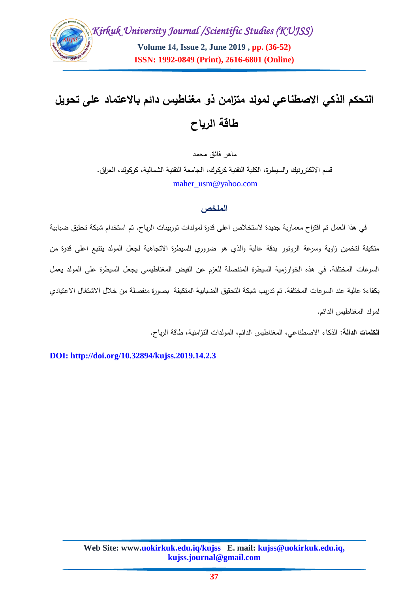

# **التحكم الذكي االصطناعي لمولد متزامن ذو مغناطيس دائم باالعتماد عمى تحويل طاقة الرياح**

ماهر فائق محمد

قسم الالكترونيك والسيطرة، الكلية التقنية كركوك، الجامعة التقنية الشمالية، كركوك، العراق. [maher\\_usm@yahoo.com](mailto:Alimoh2018@yahoo.com)

#### **الملخص**

في هذا العمل تم اقتراح معمارية جديدة الستخالص اعمى قدرة لمولدات توربينات الرياح. تم استخدام شبكة تحقيق ضبابية متكيفة لتخمين زاوية وسرعة الروتور بدقة عالية والذي هو ضروري لمسيطرة االتجاهية لجعل المولد يتتبع اعمى قدرة من السرعات المختلفة. في هذه الخوارزمية السيطرة المنفصلة للعزم عن الفيض المغناطيسي يجعل السيطرة على المولد يعمل بكفاءة عالية عند السرعات المختمفة. تم تدريب شبكة التحقيق الضبابية المتكيفة بصورة منفصمة من خالل االشتغال االعتيادي لمولد المغناطيس الدائم.

**الكممات الدالة:** الذكاء االصطناعي، المغناطيس الدائم، المولدات التزامنية، طاقة الرياح.

**DOI: http://doi.org/10.32894/kujss.2019.14.2.3**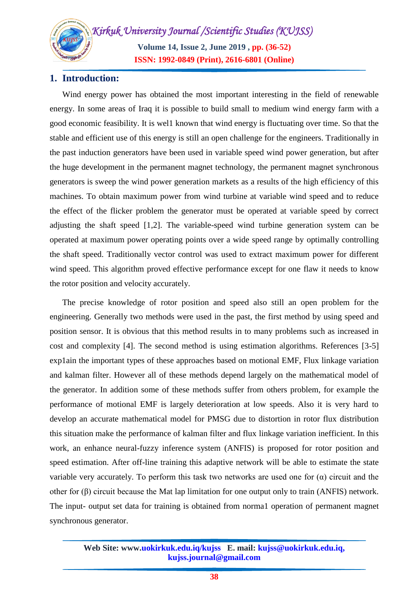**Volume 14, Issue 2, June 2019 , pp. (36-52) ISSN: 1992-0849 (Print), 2616-6801 (Online)**

## **1. Introduction:**

Wind energy power has obtained the most important interesting in the field of renewable energy. In some areas of Iraq it is possible to build small to medium wind energy farm with a good economic feasibility. It is wel1 known that wind energy is fluctuating over time. So that the stable and efficient use of this energy is still an open challenge for the engineers. Traditionally in the past induction generators have been used in variable speed wind power generation, but after the huge development in the permanent magnet technology, the permanent magnet synchronous generators is sweep the wind power generation markets as a results of the high efficiency of this machines. To obtain maximum power from wind turbine at variable wind speed and to reduce the effect of the flicker problem the generator must be operated at variable speed by correct adjusting the shaft speed [1,2]. The variable-speed wind turbine generation system can be operated at maximum power operating points over a wide speed range by optimally controlling the shaft speed. Traditionally vector control was used to extract maximum power for different wind speed. This algorithm proved effective performance except for one flaw it needs to know the rotor position and velocity accurately.

The precise knowledge of rotor position and speed also still an open problem for the engineering. Generally two methods were used in the past, the first method by using speed and position sensor. It is obvious that this method results in to many problems such as increased in cost and complexity [4]. The second method is using estimation algorithms. References [3-5] exp1ain the important types of these approaches based on motional EMF, Flux linkage variation and kalman filter. However all of these methods depend largely on the mathematical model of the generator. In addition some of these methods suffer from others problem, for example the performance of motional EMF is largely deterioration at low speeds. Also it is very hard to develop an accurate mathematical model for PMSG due to distortion in rotor flux distribution this situation make the performance of kalman filter and flux linkage variation inefficient. In this work, an enhance neural-fuzzy inference system (ANFIS) is proposed for rotor position and speed estimation. After off-line training this adaptive network will be able to estimate the state variable very accurately. To perform this task two networks are used one for  $(\alpha)$  circuit and the other for (β) circuit because the Mat lap limitation for one output only to train (ANFIS) network. The input- output set data for training is obtained from norma1 operation of permanent magnet synchronous generator.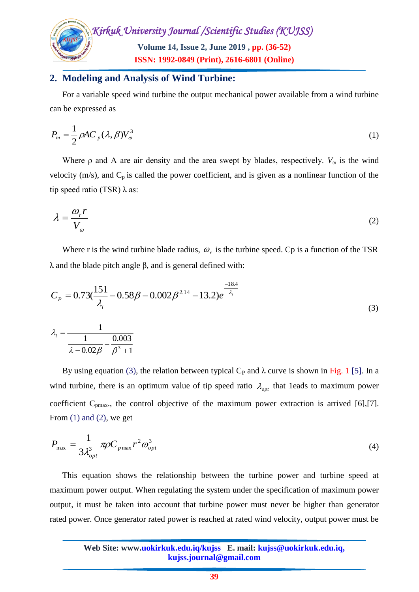

## **2. Modeling and Analysis of Wind Turbine:**

For a variable speed wind turbine the output mechanical power available from a wind turbine can be expressed as

$$
P_m = \frac{1}{2} \rho A C_p (\lambda, \beta) V_{\omega}^3
$$
 (1)

Where  $\rho$  and A are air density and the area swept by blades, respectively.  $V_{\omega}$  is the wind velocity ( $m/s$ ), and  $C_p$  is called the power coefficient, and is given as a nonlinear function of the tip speed ratio (TSR)  $\lambda$  as:

$$
\lambda = \frac{\omega_r r}{V_o} \tag{2}
$$

Where r is the wind turbine blade radius,  $\omega_r$  is the turbine speed. Cp is a function of the TSR λ and the blade pitch angle β, and is general defined with:

$$
C_{P} = 0.73(\frac{151}{\lambda_{i}} - 0.58\beta - 0.002\beta^{2.14} - 13.2)e^{-\frac{18.4}{\lambda_{i}}}
$$
  

$$
\lambda_{i} = \frac{1}{\frac{1}{\lambda - 0.02\beta} - \frac{0.003}{\beta^{3} + 1}}
$$
 (3)

By using equation (3), the relation between typical C<sub>P</sub> and  $\lambda$  curve is shown in Fig. 1 [5]. In a wind turbine, there is an optimum value of tip speed ratio  $\lambda_{opt}$  that 1eads to maximum power coefficient  $C_{pmax}$ , the control objective of the maximum power extraction is arrived [6],[7]. From  $(1)$  and  $(2)$ , we get

$$
P_{\text{max}} = \frac{1}{3\lambda_{opt}^3} \pi \rho C_{p \text{max}} r^2 \omega_{opt}^3 \tag{4}
$$

This equation shows the relationship between the turbine power and turbine speed at maximum power output. When regulating the system under the specification of maximum power output, it must be taken into account that turbine power must never be higher than generator rated power. Once generator rated power is reached at rated wind velocity, output power must be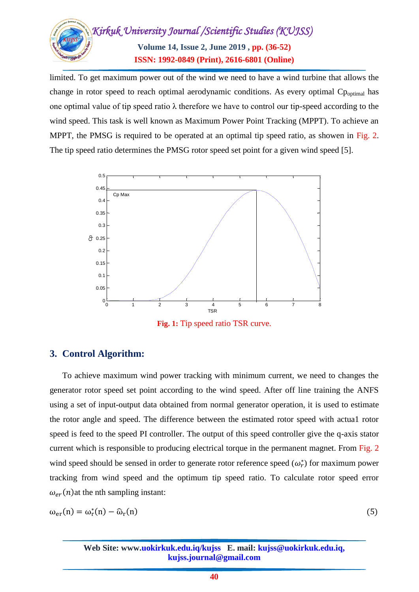

limited. To get maximum power out of the wind we need to have a wind turbine that allows the change in rotor speed to reach optimal aerodynamic conditions. As every optimal  $C_{\text{Partial}}$  has one optimal value of tip speed ratio  $\lambda$  therefore we have to control our tip-speed according to the wind speed. This task is well known as Maximum Power Point Tracking (MPPT). To achieve an MPPT, the PMSG is required to be operated at an optimal tip speed ratio, as showen in Fig. 2. The tip speed ratio determines the PMSG rotor speed set point for a given wind speed [5].



**Fig. 1:** Tip speed ratio TSR curve.

## **3. Control Algorithm:**

To achieve maximum wind power tracking with minimum current, we need to changes the generator rotor speed set point according to the wind speed. After off line training the ANFS using a set of input-output data obtained from normal generator operation, it is used to estimate the rotor angle and speed. The difference between the estimated rotor speed with actua1 rotor speed is feed to the speed PI controller. The output of this speed controller give the q-axis stator current which is responsible to producing electrical torque in the permanent magnet. From Fig. 2 wind speed should be sensed in order to generate rotor reference speed  $(\omega_r^*)$  for maximum power tracking from wind speed and the optimum tip speed ratio. To calculate rotor speed error  $\omega_{er}(n)$  at the nth sampling instant:

$$
\omega_{\rm er}(n) = \omega_{\rm r}^*(n) - \widehat{\omega}_{\rm r}(n) \tag{5}
$$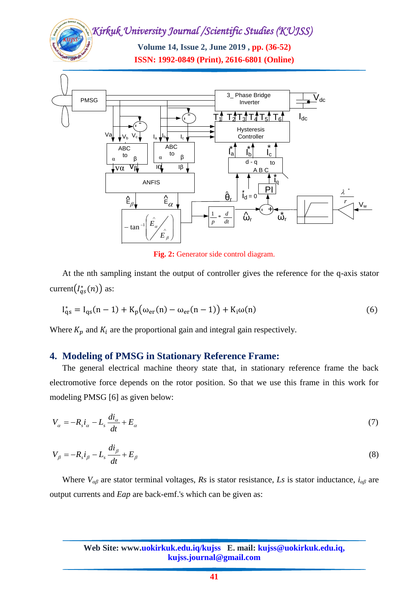**Volume 14, Issue 2, June 2019 , pp. (36-52) ISSN: 1992-0849 (Print), 2616-6801 (Online)**



**Fig. 2:** Generator side control diagram.

At the nth sampling instant the output of controller gives the reference for the q-axis stator current $(I_{as}^*(n))$  as:

$$
I_{qs}^{*} = I_{qs}(n-1) + K_{p}(\omega_{er}(n) - \omega_{er}(n-1)) + K_{i}\omega(n)
$$
\n(6)

Where  $K_p$  and  $K_i$  are the proportional gain and integral gain respectively.

#### **4. Modeling of PMSG in Stationary Reference Frame:**

The general electrical machine theory state that, in stationary reference frame the back electromotive force depends on the rotor position. So that we use this frame in this work for modeling PMSG [6] as given below:

$$
V_{\alpha} = -R_s i_{\alpha} - L_s \frac{di_{\alpha}}{dt} + E_{\alpha} \tag{7}
$$

$$
V_{\beta} = -R_{s}i_{\beta} - L_{s}\frac{di_{\beta}}{dt} + E_{\beta}
$$
\n(8)

Where *Vαβ* are stator terminal voltages, *Rs* is stator resistance, *Ls* is stator inductance, *iαβ* are output currents and *Eap* are back-emf.'s which can be given as: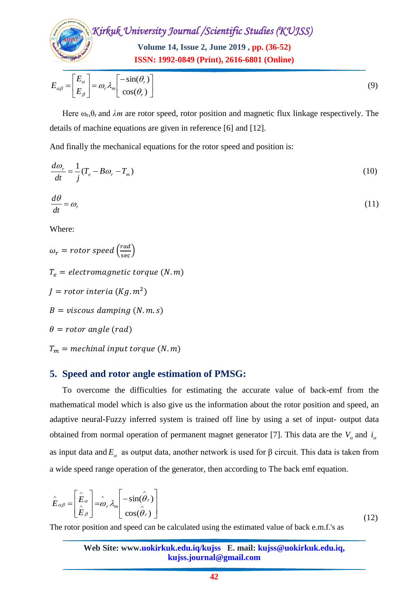

$$
E_{\alpha\beta} = \begin{bmatrix} E_{\alpha} \\ E_{\beta} \end{bmatrix} = \omega_r \lambda_m \begin{bmatrix} -\sin(\theta_r) \\ \cos(\theta_r) \end{bmatrix}
$$
 (9)

Here  $\omega_r$ , $\theta_r$  and  $\lambda m$  are rotor speed, rotor position and magnetic flux linkage respectively. The details of machine equations are given in reference [6] and [12].

And finally the mechanical equations for the rotor speed and position is:

$$
\frac{d\omega_r}{dt} = \frac{1}{j}(T_e - B\omega_r - T_m) \tag{10}
$$

$$
\frac{d\theta}{dt} = \omega_r \tag{11}
$$

Where:

Figure 1<br>
or speed, rotor positi<br>
are given in reference<br>
quations for the rotor<br>
que (*N*. *m*)<br>
de estimation of **F**<br>
alties for estimating<br>
also give us the inference<br>
on of permanent manner<br>
t data, another netwo<br>
of t  $\omega_r$  = rotor speed  $\left(\frac{rad}{\sec}\right)$  $T_e =$  electromagnetic torque (N.m) *J* = rotor interia (Kg.  $m^2$ )  $B = \text{viscous damping } (N.m.s)$  $\theta$  = rotor angle (rad)  $T_m$  = mechinal input torque (N.m)

## **5. Speed and rotor angle estimation of PMSG:**

To overcome the difficulties for estimating the accurate value of back-emf from the mathematical model which is also give us the information about the rotor position and speed, an adaptive neural-Fuzzy inferred system is trained off line by using a set of input- output data obtained from normal operation of permanent magnet generator [7]. This data are the  $V_a$  and  $i_a$ as input data and  $E_a$  as output data, another network is used for  $\beta$  circuit. This data is taken from a wide speed range operation of the generator, then according to The back emf equation.

$$
\hat{E}_{\alpha\beta} = \begin{bmatrix} \hat{E}_{\alpha} \\ \hat{E}_{\beta} \end{bmatrix} = \hat{\omega}_r \lambda_m \begin{bmatrix} -\sin(\hat{\theta}_r) \\ \cos(\hat{\theta}_r) \end{bmatrix}
$$
\n(12)

The rotor position and speed can be calculated using the estimated value of back e.m.f.'s as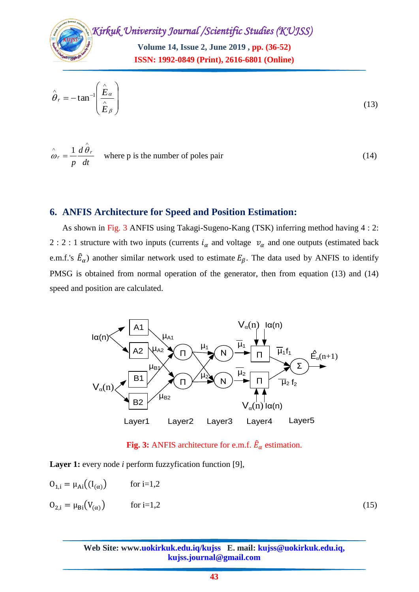**Volume 14, Issue 2, June 2019 , pp. (36-52) ISSN: 1992-0849 (Print), 2616-6801 (Online)**

$$
\hat{\theta}_r = -\tan^{-1}\left(\frac{\hat{E}_\alpha}{\hat{E}_\beta}\right) \tag{13}
$$

$$
\hat{\omega}_r = \frac{1}{p} \frac{d\theta_r}{dt}
$$
 where p is the number of poles pair (14)

## **6. ANFIS Architecture for Speed and Position Estimation:**

As shown in Fig. 3 ANFIS using Takagi-Sugeno-Kang (TSK) inferring method having 4 : 2: 2 : 2 : 1 structure with two inputs (currents  $i_{\alpha}$  and voltage  $v_{\alpha}$  and one outputs (estimated back e.m.f.'s  $\hat{E}_{\alpha}$ ) another similar network used to estimate  $E_{\beta}$ . The data used by ANFIS to identify PMSG is obtained from normal operation of the generator, then from equation (13) and (14) speed and position are calculated.



**Fig. 3:** ANFIS architecture for e.m.f.  $\hat{E}_{\alpha}$  estimation.

**Layer 1:** every node *i* perform fuzzyfication function [9],

$$
0_{1,i} = \mu_{Ai}((I_{(\alpha)}) \quad \text{for } i=1,2
$$

 $\wedge$ 

$$
0_{2,i} = \mu_{\text{Bi}}(V_{(\alpha)}) \qquad \text{for } i=1,2
$$
 (15)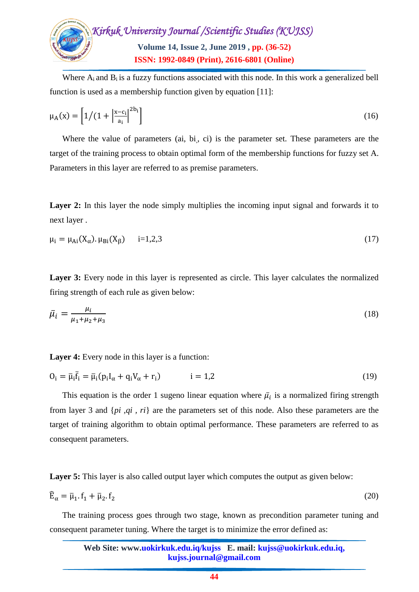

Where  $A_i$  and  $B_i$  is a fuzzy functions associated with this node. In this work a generalized bell function is used as a membership function given by equation [11]:

$$
\mu_{A}(x) = \left[1/(1 + \left|\frac{x - c_{i}}{a_{i}}\right|^{2b_{i}})\right]
$$
(16)

Where the value of parameters (ai, bi, ci) is the parameter set. These parameters are the target of the training process to obtain optimal form of the membership functions for fuzzy set A. Parameters in this layer are referred to as premise parameters.

Layer 2: In this layer the node simply multiplies the incoming input signal and forwards it to next layer .

$$
\mu_i = \mu_{Ai}(X_{\alpha}). \mu_{Bi}(X_{\beta}) \qquad i=1,2,3
$$
\n(17)

**Layer 3:** Every node in this layer is represented as circle. This layer calculates the normalized firing strength of each rule as given below:

$$
\bar{\mu}_i = \frac{\mu_i}{\mu_1 + \mu_2 + \mu_3} \tag{18}
$$

**Layer 4:** Every node in this layer is a function:

$$
0_i = \overline{\mu}_i \overline{f}_i = \overline{\mu}_i (p_i I_\alpha + q_i V_\alpha + r_i) \qquad i = 1,2 \qquad (19)
$$

This equation is the order 1 sugeno linear equation where  $\bar{\mu}_i$  is a normalized firing strength from layer 3 and {*pi ,qi , ri*} are the parameters set of this node. Also these parameters are the target of training algorithm to obtain optimal performance. These parameters are referred to as consequent parameters.

**Layer 5:** This layer is also called output layer which computes the output as given below:

$$
\widehat{\mathbf{E}}_{\alpha} = \overline{\mu}_1 \cdot \mathbf{f}_1 + \overline{\mu}_2 \cdot \mathbf{f}_2 \tag{20}
$$

The training process goes through two stage, known as precondition parameter tuning and consequent parameter tuning. Where the target is to minimize the error defined as: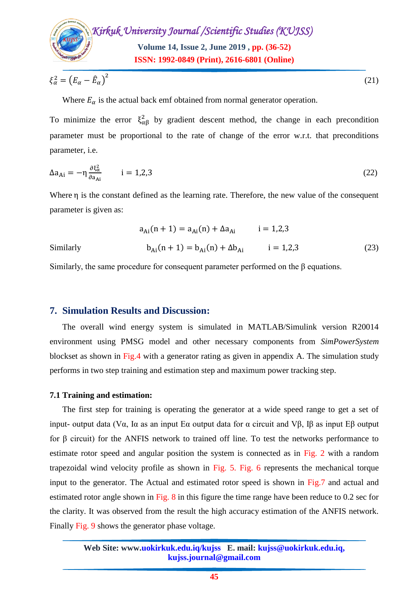

$$
\xi_{\alpha}^2 = \left(E_{\alpha} - \hat{E}_{\alpha}\right)^2\tag{21}
$$

Where  $E_{\alpha}$  is the actual back emf obtained from normal generator operation.

To minimize the error  $\xi_{\alpha\beta}^2$  by gradient descent method, the change in each precondition parameter must be proportional to the rate of change of the error w.r.t. that preconditions parameter, i.e.

$$
\Delta a_{Ai} = -\eta \frac{\partial \xi_{\alpha}^2}{\partial a_{Ai}} \qquad i = 1,2,3 \tag{22}
$$

Where  $\eta$  is the constant defined as the learning rate. Therefore, the new value of the consequent parameter is given as:

$$
a_{Ai}(n + 1) = a_{Ai}(n) + \Delta a_{Ai} \qquad i = 1,2,3
$$
  
Similarly 
$$
b_{Ai}(n + 1) = b_{Ai}(n) + \Delta b_{Ai} \qquad i = 1,2,3
$$
 (23)

Similarly, the same procedure for consequent parameter performed on the β equations.

#### **7. Simulation Results and Discussion:**

The overall wind energy system is simulated in MATLAB/Simulink version R20014 environment using PMSG model and other necessary components from *SimPowerSystem*  blockset as shown in Fig.4 with a generator rating as given in appendix A. The simulation study performs in two step training and estimation step and maximum power tracking step.

#### **7.1 Training and estimation:**

The first step for training is operating the generator at a wide speed range to get a set of input- output data (Vα, Iα as an input Eα output data for α circuit and Vβ, Iβ as input Eβ output for β circuit) for the ANFIS network to trained off line. To test the networks performance to estimate rotor speed and angular position the system is connected as in Fig. 2 with a random trapezoidal wind velocity profile as shown in Fig. 5. Fig. 6 represents the mechanical torque input to the generator. The Actual and estimated rotor speed is shown in Fig.7 and actual and estimated rotor angle shown in Fig.  $8$  in this figure the time range have been reduce to 0.2 sec for the clarity. It was observed from the result the high accuracy estimation of the ANFIS network. Finally Fig. 9 shows the generator phase voltage.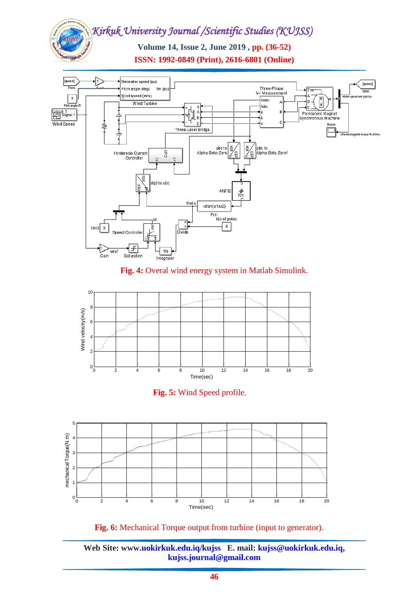**Volume 14, Issue 2, June 2019 , pp. (36-52) ISSN: 1992-0849 (Print), 2616-6801 (Online)**



## **Fig. 4:** Overal wind energy system in Matlab Simulink.







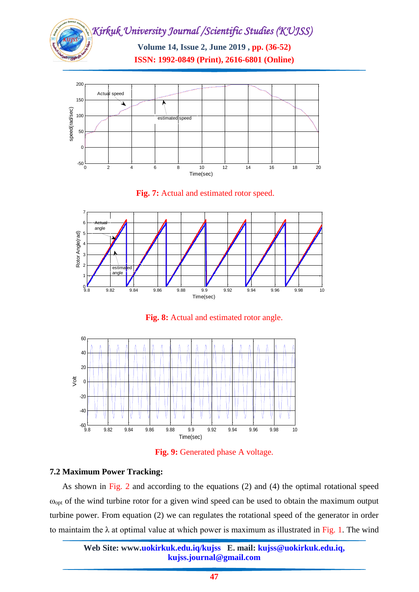







**Fig. 8:** Actual and estimated rotor angle.



**Fig. 9:** Generated phase A voltage.

## **7.2 Maximum Power Tracking:**

As shown in Fig. 2 and according to the equations (2) and (4) the optimal rotational speed  $\omega_{\text{opt}}$  of the wind turbine rotor for a given wind speed can be used to obtain the maximum output turbine power. From equation (2) we can regulates the rotational speed of the generator in order to maintaim the  $\lambda$  at optimal value at which power is maximum as illustrated in Fig. 1. The wind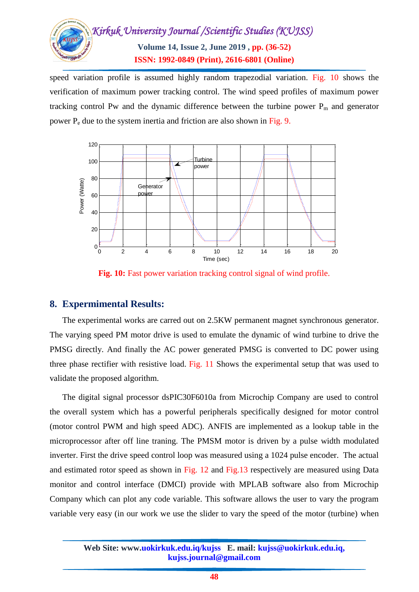

speed variation profile is assumed highly random trapezodial variation. Fig. 10 shows the verification of maximum power tracking control. The wind speed profiles of maximum power tracking control Pw and the dynamic difference between the turbine power  $P_m$  and generator power P<sup>e</sup> due to the system inertia and friction are also shown in Fig. 9.



**Fig. 10:** Fast power variation tracking control signal of wind profile.

## **8. Expermimental Results:**

The experimental works are carred out on 2.5KW permanent magnet synchronous generator. The varying speed PM motor drive is used to emulate the dynamic of wind turbine to drive the PMSG directly. And finally the AC power generated PMSG is converted to DC power using three phase rectifier with resistive load. Fig. 11 Shows the experimental setup that was used to validate the proposed algorithm.

The digital signal processor dsPIC30F6010a from Microchip Company are used to control the overall system which has a powerful peripherals specifically designed for motor control (motor control PWM and high speed ADC). ANFIS are implemented as a lookup table in the microprocessor after off line traning. The PMSM motor is driven by a pulse width modulated inverter. First the drive speed control loop was measured using a 1024 pulse encoder. The actual and estimated rotor speed as shown in Fig. 12 and Fig.13 respectively are measured using Data monitor and control interface (DMCI) provide with MPLAB software also from Microchip Company which can plot any code variable. This software allows the user to vary the program variable very easy (in our work we use the slider to vary the speed of the motor (turbine) when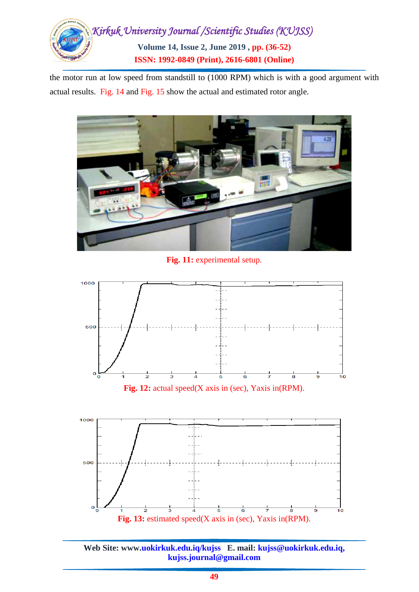

the motor run at low speed from standstill to (1000 RPM) which is with a good argument with actual results. Fig. 14 and Fig. 15 show the actual and estimated rotor angle.



**Fig. 11:** experimental setup.



**Fig. 12:** actual speed(X axis in (sec), Yaxis in(RPM).



**Web Site: www.uokirkuk.edu.iq/kujss E. mail: kujss@uokirkuk.edu.iq, kujss.journal@gmail.com**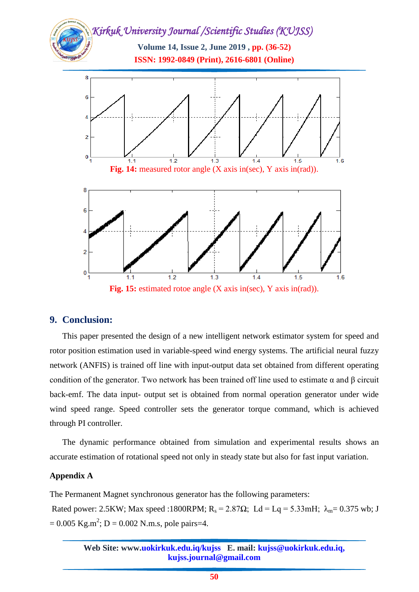

## **9. Conclusion:**

This paper presented the design of a new intelligent network estimator system for speed and rotor position estimation used in variable-speed wind energy systems. The artificial neural fuzzy network (ANFIS) is trained off line with input-output data set obtained from different operating condition of the generator. Two network has been trained off line used to estimate α and β circuit back-emf. The data input- output set is obtained from normal operation generator under wide wind speed range. Speed controller sets the generator torque command, which is achieved through PI controller.

The dynamic performance obtained from simulation and experimental results shows an accurate estimation of rotational speed not only in steady state but also for fast input variation.

#### **Appendix A**

The Permanent Magnet synchronous generator has the following parameters:

Rated power: 2.5KW; Max speed :1800RPM;  $R_s = 2.87\Omega$ ; Ld = Lq = 5.33mH;  $\lambda_m = 0.375$  wb; J  $= 0.005$  Kg.m<sup>2</sup>; D = 0.002 N.m.s, pole pairs=4.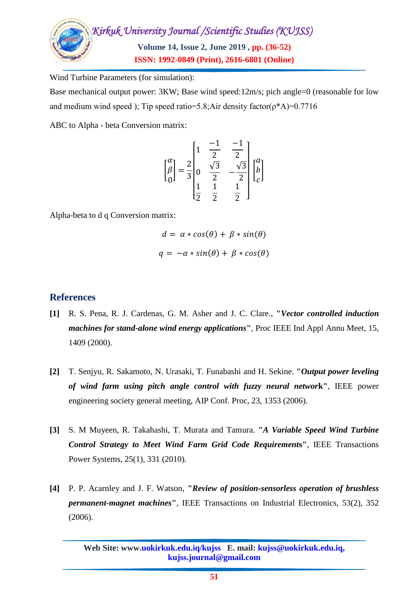

Wind Turbine Parameters (for simulation):

Base mechanical output power: 3KW; Base wind speed:12m/s; pich angle=0 (reasonable for low and medium wind speed ); Tip speed ratio=5.8;Air density factor( $\rho^*A$ )=0.7716

ABC to Alpha - beta Conversion matrix:

$$
\begin{bmatrix} \alpha \\ \beta \\ 0 \end{bmatrix} = \frac{2}{3} \begin{bmatrix} 1 & \frac{-1}{2} & \frac{-1}{2} \\ 0 & \frac{\sqrt{3}}{2} & -\frac{\sqrt{3}}{2} \\ \frac{1}{2} & \frac{1}{2} & \frac{1}{2} \end{bmatrix} \begin{bmatrix} \alpha \\ b \\ c \end{bmatrix}
$$

Alpha-beta to d q Conversion matrix:

$$
d = \alpha * cos(\theta) + \beta * sin(\theta)
$$

$$
q = -\alpha * sin(\theta) + \beta * cos(\theta)
$$

## **References**

- **[1]** R. S. Pena, R. J. Cardenas, G. M. Asher and J. C. Clare., **"***Vector controlled induction machines for stand-alone wind energy applications***"**, Proc IEEE Ind Appl Annu Meet, 15, 1409 (2000).
- **[2]** T. Senjyu, R. Sakamoto, N. Urasaki, T. Funabashi and H. Sekine. **"***Output power leveling of wind farm using pitch angle control with fuzzy neural networ***k"**, IEEE power engineering society general meeting, AIP Conf. Proc, 23, 1353 (2006).
- **[3]** S. M Muyeen, R. Takahashi, T. Murata and Tamura. **"***A Variable Speed Wind Turbine Control Strategy to Meet Wind Farm Grid Code Requirement***s"**, IEEE Transactions Power Systems, 25(1), 331 (2010).
- **[4]** P. P. Acarnley and J. F. Watson, **"***Review of position-sensorless operation of brushless permanent-magnet machines***"**, IEEE Transactions on Industrial Electronics, 53(2), 352 (2006).

**Web Site: www.uokirkuk.edu.iq/kujss E. mail: kujss@uokirkuk.edu.iq, kujss.journal@gmail.com**